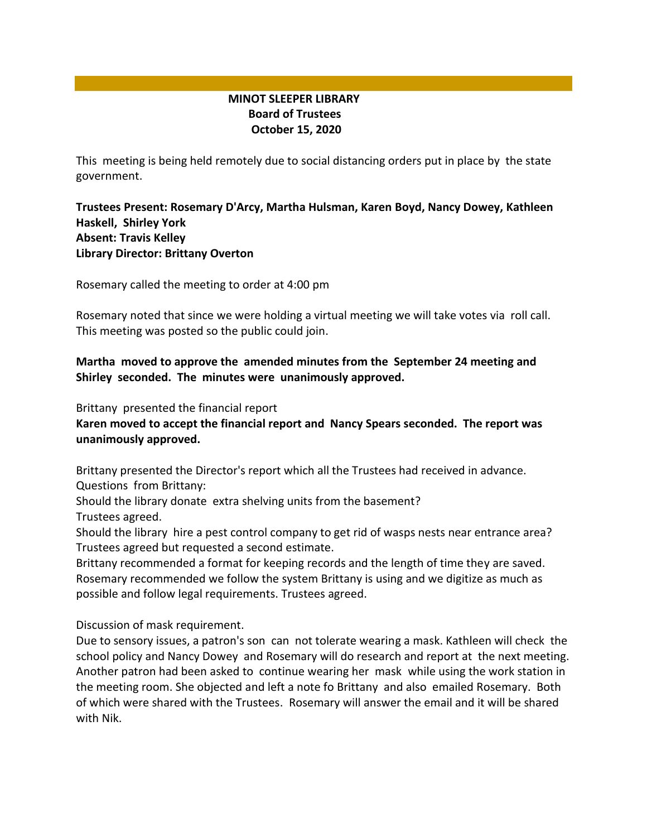## **MINOT SLEEPER LIBRARY Board of Trustees October 15, 2020**

This meeting is being held remotely due to social distancing orders put in place by the state government.

**Trustees Present: Rosemary D'Arcy, Martha Hulsman, Karen Boyd, Nancy Dowey, Kathleen Haskell, Shirley York Absent: Travis Kelley Library Director: Brittany Overton** 

Rosemary called the meeting to order at 4:00 pm

Rosemary noted that since we were holding a virtual meeting we will take votes via roll call. This meeting was posted so the public could join.

**Martha moved to approve the amended minutes from the September 24 meeting and Shirley seconded. The minutes were unanimously approved.**

Brittany presented the financial report

**Karen moved to accept the financial report and Nancy Spears seconded. The report was unanimously approved.**

Brittany presented the Director's report which all the Trustees had received in advance. Questions from Brittany:

Should the library donate extra shelving units from the basement? Trustees agreed.

Should the library hire a pest control company to get rid of wasps nests near entrance area? Trustees agreed but requested a second estimate.

Brittany recommended a format for keeping records and the length of time they are saved. Rosemary recommended we follow the system Brittany is using and we digitize as much as possible and follow legal requirements. Trustees agreed.

Discussion of mask requirement.

Due to sensory issues, a patron's son can not tolerate wearing a mask. Kathleen will check the school policy and Nancy Dowey and Rosemary will do research and report at the next meeting. Another patron had been asked to continue wearing her mask while using the work station in the meeting room. She objected and left a note fo Brittany and also emailed Rosemary. Both of which were shared with the Trustees. Rosemary will answer the email and it will be shared with Nik.